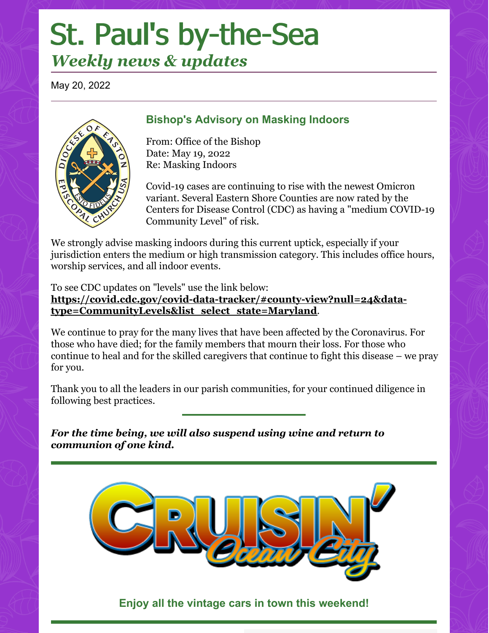# St. Paul's by-the-Sea

## *Weekly news & updates*

May 20, 2022



#### **Bishop's Advisory on Masking Indoors**

From: Office of the Bishop Date: May 19, 2022 Re: Masking Indoors

Covid-19 cases are continuing to rise with the newest Omicron variant. Several Eastern Shore Counties are now rated by the Centers for Disease Control (CDC) as having a "medium COVID-19 Community Level" of risk.

We strongly advise masking indoors during this current uptick, especially if your jurisdiction enters the medium or high transmission category. This includes office hours, worship services, and all indoor events.

To see CDC updates on "levels" use the link below: **[https://covid.cdc.gov/covid-data-tracker/#county-view?null=24&data](https://r20.rs6.net/tn.jsp?f=001cpxzDsRfq1GWmyOzP7P4YU37YjhSVTr4YsYTK7ssdt5GMaKtJ5B-jNeZA_EWhigrUbUQ2BZd-J3o7OD6xrHG6wDh68hFkulzzGQ0H6PWjMGEqtVvlls0sBpMgQRrGCKKR1cOWJ4K4HUEdmm9x3f2-UPbpJP4FZHJFQgpVGIB33Z3ydrHQ9kuWqSrcoW2LlA6C9XQFUvO7wklGnsB6Z1ecNMz735lUi8ZyTne2y2cHH4IHDkWbGQ7PH8gEKvFuSPO1-RSgb21OWlWBaNLzflp-1pBAtGAvgc2&c=xKFVMtSSvojLnl1ojdJFEv4qcuZWnqo-W-jMQA1E5nIeMslVRJ5ttA==&ch=j1kcI4Ra5M0S970w0_Ahib2CDH27H4qKmSO-JLQLnfhhOKGmIMBTXA==)type=CommunityLevels&list\_select\_state=Maryland**.

We continue to pray for the many lives that have been affected by the Coronavirus. For those who have died; for the family members that mourn their loss. For those who continue to heal and for the skilled caregivers that continue to fight this disease – we pray for you.

Thank you to all the leaders in our parish communities, for your continued diligence in following best practices.

*For the time being, we will also suspend using wine and return to communion of one kind.*



**Enjoy all the vintage cars in town this weekend!**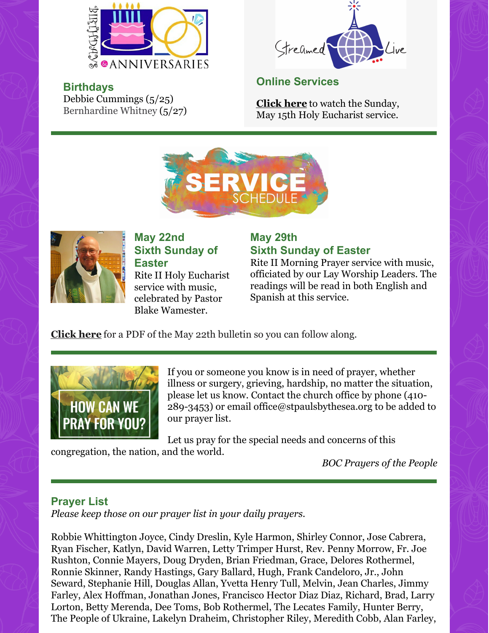

Bernhardine Whitney (5/27)



Debbie Cummings (5/25) **Online Services**

**[Click](https://www.facebook.com/StPaulsByTheSeaEpsicopalChurch/videos/397689712368281) here** to watch the Sunday, May 15th Holy Eucharist service.





**Birthdays**

**May 22nd Sixth Sunday of Easter**

Rite II Holy Eucharist service with music, celebrated by Pastor Blake Wamester.

#### **May 29th Sixth Sunday of Easter**

Rite II Morning Prayer service with music, officiated by our Lay Worship Leaders. The readings will be read in both English and Spanish at this service.

**[Click](https://files.constantcontact.com/2d81fdc6201/201f805d-1dc1-4437-b13b-46d709143600.pdf?rdr=true) here** for a PDF of the May 22th bulletin so you can follow along.



If you or someone you know is in need of prayer, whether illness or surgery, grieving, hardship, no matter the situation, please let us know. Contact the church office by phone (410- 289-3453) or email office@stpaulsbythesea.org to be added to our prayer list.

Let us pray for the special needs and concerns of this congregation, the nation, and the world.

*BOC Prayers of the People*

#### **Prayer List**

*Please keep those on our prayer list in your daily prayers.*

Robbie Whittington Joyce, Cindy Dreslin, Kyle Harmon, Shirley Connor, Jose Cabrera, Ryan Fischer, Katlyn, David Warren, Letty Trimper Hurst, Rev. Penny Morrow, Fr. Joe Rushton, Connie Mayers, Doug Dryden, Brian Friedman, Grace, Delores Rothermel, Ronnie Skinner, Randy Hastings, Gary Ballard, Hugh, Frank Candeloro, Jr., John Seward, Stephanie Hill, Douglas Allan, Yvetta Henry Tull, Melvin, Jean Charles, Jimmy Farley, Alex Hoffman, Jonathan Jones, Francisco Hector Diaz Diaz, Richard, Brad, Larry Lorton, Betty Merenda, Dee Toms, Bob Rothermel, The Lecates Family, Hunter Berry, The People of Ukraine, Lakelyn Draheim, Christopher Riley, Meredith Cobb, Alan Farley,